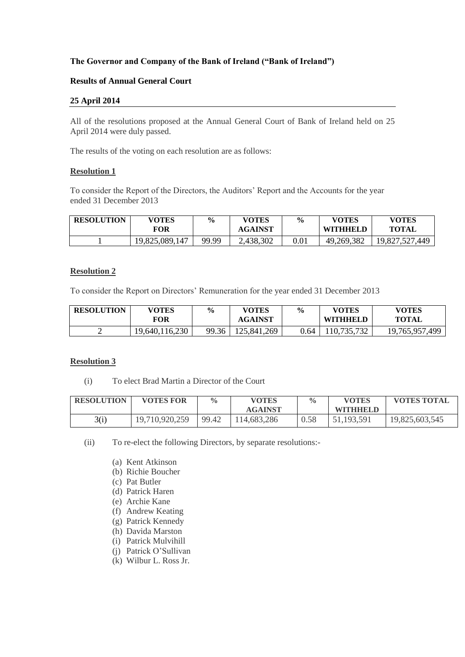# **The Governor and Company of the Bank of Ireland ("Bank of Ireland")**

### **Results of Annual General Court**

### **25 April 2014**

All of the resolutions proposed at the Annual General Court of Bank of Ireland held on 25 April 2014 were duly passed.

The results of the voting on each resolution are as follows:

### **Resolution 1**

To consider the Report of the Directors, the Auditors' Report and the Accounts for the year ended 31 December 2013

| <b>RESOLUTION</b> | <b>VOTES</b><br>FOR | $\frac{6}{9}$ | <b>VOTES</b><br><b>AGAINST</b> | $\frac{0}{0}$ | <b>VOTES</b><br><b>WITHHELD</b> | <b>VOTES</b><br><b>TOTAL</b> |
|-------------------|---------------------|---------------|--------------------------------|---------------|---------------------------------|------------------------------|
|                   | 19,825,089,147      | 99.99         | 2,438,302                      | 0.01          | 49,269,382                      | 19,827,527,449               |

### **Resolution 2**

To consider the Report on Directors' Remuneration for the year ended 31 December 2013

| <b>RESOLUTION</b> | <b>VOTES</b><br>FOR | $\frac{6}{9}$ | <b>VOTES</b><br><b>AGAINST</b> | $\frac{6}{10}$ | <b>VOTES</b><br><b>WITHHELD</b> | <b>VOTES</b><br><b>TOTAL</b> |
|-------------------|---------------------|---------------|--------------------------------|----------------|---------------------------------|------------------------------|
|                   | 19,640,116,230      | 99.36         | 125,841,269                    | 0.64           | 10,735,732                      | 19,765,957,499               |

### **Resolution 3**

(i) To elect Brad Martin a Director of the Court

| <b>RESOLUTION</b> | <b>VOTES FOR</b> | $\frac{0}{0}$ | <b>VOTES</b>   | $\frac{0}{0}$ | <b>VOTES</b>    | <b>VOTES TOTAL</b> |
|-------------------|------------------|---------------|----------------|---------------|-----------------|--------------------|
|                   |                  |               | <b>AGAINST</b> |               | <b>WITHHELD</b> |                    |
| 3(i)              | 19,710,920,259   | 99.42         | 114.683.286    | 0.58          | 51,193,591      | 19,825,603,545     |

(ii) To re-elect the following Directors, by separate resolutions:-

- (a) Kent Atkinson
- (b) Richie Boucher
- (c) Pat Butler
- (d) Patrick Haren
- (e) Archie Kane
- (f) Andrew Keating
- (g) Patrick Kennedy
- (h) Davida Marston
- (i) Patrick Mulvihill
- (j) Patrick O'Sullivan
- (k) Wilbur L. Ross Jr.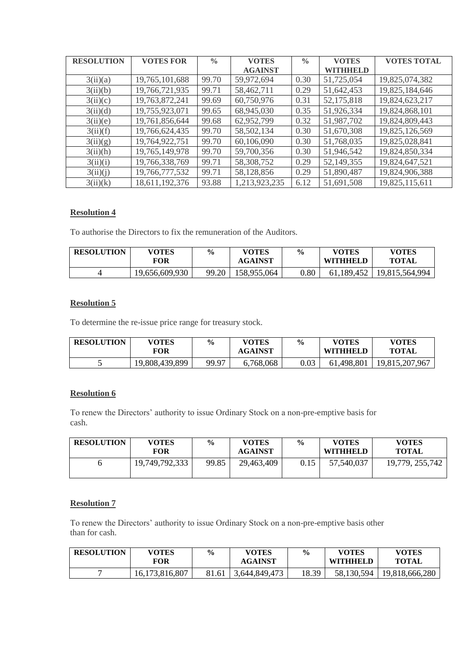| <b>RESOLUTION</b> | <b>VOTES FOR</b> | $\frac{0}{0}$ | <b>VOTES</b>   | $\frac{0}{0}$ | <b>VOTES</b> | <b>VOTES TOTAL</b> |
|-------------------|------------------|---------------|----------------|---------------|--------------|--------------------|
|                   |                  |               | <b>AGAINST</b> |               | WITHHELD     |                    |
| 3(ii)(a)          | 19,765,101,688   | 99.70         | 59,972,694     | 0.30          | 51,725,054   | 19,825,074,382     |
| 3(ii)(b)          | 19,766,721,935   | 99.71         | 58,462,711     | 0.29          | 51,642,453   | 19,825,184,646     |
| 3(ii)(c)          | 19,763,872,241   | 99.69         | 60,750,976     | 0.31          | 52,175,818   | 19,824,623,217     |
| 3(ii)(d)          | 19,755,923,071   | 99.65         | 68,945,030     | 0.35          | 51,926,334   | 19,824,868,101     |
| 3(ii)(e)          | 19,761,856,644   | 99.68         | 62,952,799     | 0.32          | 51,987,702   | 19,824,809,443     |
| 3(ii)(f)          | 19,766,624,435   | 99.70         | 58,502,134     | 0.30          | 51,670,308   | 19,825,126,569     |
| 3(ii)(g)          | 19,764,922,751   | 99.70         | 60,106,090     | 0.30          | 51,768,035   | 19,825,028,841     |
| 3(ii)(h)          | 19,765,149,978   | 99.70         | 59,700,356     | 0.30          | 51,946,542   | 19,824,850,334     |
| 3(ii)(i)          | 19,766,338,769   | 99.71         | 58,308,752     | 0.29          | 52,149,355   | 19,824,647,521     |
| 3(ii)(j)          | 19,766,777,532   | 99.71         | 58,128,856     | 0.29          | 51,890,487   | 19,824,906,388     |
| 3(ii)(k)          | 18,611,192,376   | 93.88         | 1,213,923,235  | 6.12          | 51,691,508   | 19,825,115,611     |

# **Resolution 4**

To authorise the Directors to fix the remuneration of the Auditors.

| <b>RESOLUTION</b> | <b>VOTES</b><br>FOR | $\frac{0}{0}$ | <b>VOTES</b><br><b>AGAINST</b> | $\frac{0}{0}$ | <b>VOTES</b><br><b>WITHHELD</b> | VOTES<br><b>TOTAL</b> |
|-------------------|---------------------|---------------|--------------------------------|---------------|---------------------------------|-----------------------|
| 4                 | 19,656,609,930      | 99.20         | 158,955,064                    | 0.80          | 61,189,452                      | 19,815,564,994        |

## **Resolution 5**

To determine the re-issue price range for treasury stock.

| <b>RESOLUTION</b> | <b>VOTES</b><br>FOR | $\frac{0}{0}$ | <b>VOTES</b><br><b>AGAINST</b> | $\frac{0}{0}$ | <b>VOTES</b><br>WITHHELD | <b>VOTES</b><br><b>TOTAL</b> |
|-------------------|---------------------|---------------|--------------------------------|---------------|--------------------------|------------------------------|
|                   | 19,808,439,899      | 99.97         | 6,768,068                      | 0.03          | 61,498,801               | 19,815,207,967               |

# **Resolution 6**

To renew the Directors' authority to issue Ordinary Stock on a non-pre-emptive basis for cash.

| <b>RESOLUTION</b> | <b>VOTES</b><br>FOR | $\%$  | <b>VOTES</b><br><b>AGAINST</b> | $\frac{6}{9}$ | <b>VOTES</b><br><b>WITHHELD</b> | <b>VOTES</b><br><b>TOTAL</b> |
|-------------------|---------------------|-------|--------------------------------|---------------|---------------------------------|------------------------------|
|                   | 19,749,792,333      | 99.85 | 29,463,409                     | 0.15          | 57,540,037                      | 19,779, 255,742              |

## **Resolution 7**

To renew the Directors' authority to issue Ordinary Stock on a non-pre-emptive basis other than for cash.

| <b>RESOLUTION</b> | <b>VOTES</b><br><b>FOR</b> | $\frac{0}{0}$ | <b>VOTES</b><br><b>AGAINST</b> | $\frac{6}{6}$ | <b>VOTES</b><br>WITHHELD | <b>VOTES</b><br><b>TOTAL</b> |
|-------------------|----------------------------|---------------|--------------------------------|---------------|--------------------------|------------------------------|
|                   | 16,173,816,807             | 81.61         | 3,644,849,473                  | 18.39         | 58,130,594               | 19,818,666,280               |